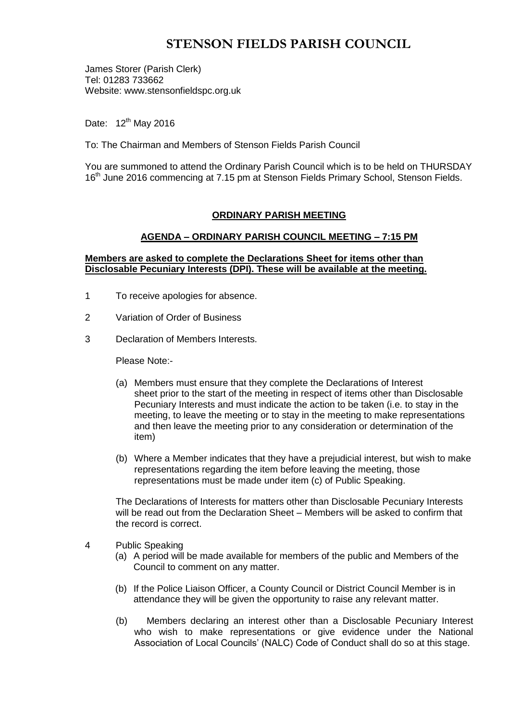# **STENSON FIELDS PARISH COUNCIL**

James Storer (Parish Clerk) Tel: 01283 733662 Website: www.stensonfieldspc.org.uk

Date: 12<sup>th</sup> May 2016

To: The Chairman and Members of Stenson Fields Parish Council

You are summoned to attend the Ordinary Parish Council which is to be held on THURSDAY 16<sup>th</sup> June 2016 commencing at 7.15 pm at Stenson Fields Primary School, Stenson Fields.

## **ORDINARY PARISH MEETING**

## **AGENDA – ORDINARY PARISH COUNCIL MEETING – 7:15 PM**

#### **Members are asked to complete the Declarations Sheet for items other than Disclosable Pecuniary Interests (DPI). These will be available at the meeting.**

- 1 To receive apologies for absence.
- 2 Variation of Order of Business
- 3 Declaration of Members Interests.

Please Note:-

- (a) Members must ensure that they complete the Declarations of Interest sheet prior to the start of the meeting in respect of items other than Disclosable Pecuniary Interests and must indicate the action to be taken (i.e. to stay in the meeting, to leave the meeting or to stay in the meeting to make representations and then leave the meeting prior to any consideration or determination of the item)
- (b) Where a Member indicates that they have a prejudicial interest, but wish to make representations regarding the item before leaving the meeting, those representations must be made under item (c) of Public Speaking.

The Declarations of Interests for matters other than Disclosable Pecuniary Interests will be read out from the Declaration Sheet – Members will be asked to confirm that the record is correct.

- 4 Public Speaking
	- (a) A period will be made available for members of the public and Members of the Council to comment on any matter.
	- (b) If the Police Liaison Officer, a County Council or District Council Member is in attendance they will be given the opportunity to raise any relevant matter.
	- (b) Members declaring an interest other than a Disclosable Pecuniary Interest who wish to make representations or give evidence under the National Association of Local Councils' (NALC) Code of Conduct shall do so at this stage.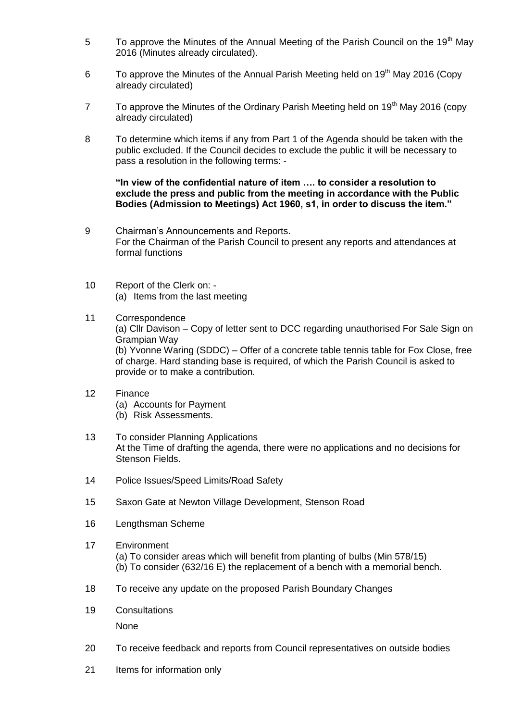- 5 To approve the Minutes of the Annual Meeting of the Parish Council on the 19<sup>th</sup> May 2016 (Minutes already circulated).
- 6 To approve the Minutes of the Annual Parish Meeting held on  $19<sup>th</sup>$  May 2016 (Copy already circulated)
- 7 To approve the Minutes of the Ordinary Parish Meeting held on  $19<sup>th</sup>$  May 2016 (copy already circulated)
- 8 To determine which items if any from Part 1 of the Agenda should be taken with the public excluded. If the Council decides to exclude the public it will be necessary to pass a resolution in the following terms: -

**"In view of the confidential nature of item …. to consider a resolution to exclude the press and public from the meeting in accordance with the Public Bodies (Admission to Meetings) Act 1960, s1, in order to discuss the item."** 

- 9 Chairman's Announcements and Reports. For the Chairman of the Parish Council to present any reports and attendances at formal functions
- 10 Report of the Clerk on: (a) Items from the last meeting
- 11 Correspondence (a) Cllr Davison – Copy of letter sent to DCC regarding unauthorised For Sale Sign on Grampian Way (b) Yvonne Waring (SDDC) – Offer of a concrete table tennis table for Fox Close, free of charge. Hard standing base is required, of which the Parish Council is asked to provide or to make a contribution.
- 12 Finance
	- (a) Accounts for Payment
	- (b) Risk Assessments.
- 13 To consider Planning Applications At the Time of drafting the agenda, there were no applications and no decisions for Stenson Fields.
- 14 Police Issues/Speed Limits/Road Safety
- 15 Saxon Gate at Newton Village Development, Stenson Road
- 16 Lengthsman Scheme
- 17 Environment
	- (a) To consider areas which will benefit from planting of bulbs (Min 578/15) (b) To consider (632/16 E) the replacement of a bench with a memorial bench.
- 18 To receive any update on the proposed Parish Boundary Changes
- 19 Consultations

None

- 20 To receive feedback and reports from Council representatives on outside bodies
- 21 Items for information only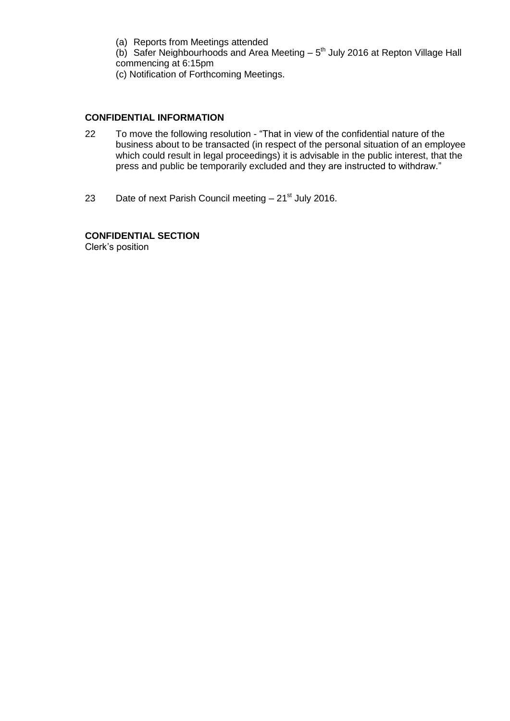(a) Reports from Meetings attended

(b) Safer Neighbourhoods and Area Meeting  $-5<sup>th</sup>$  July 2016 at Repton Village Hall commencing at 6:15pm

(c) Notification of Forthcoming Meetings.

# **CONFIDENTIAL INFORMATION**

- 22 To move the following resolution "That in view of the confidential nature of the business about to be transacted (in respect of the personal situation of an employee which could result in legal proceedings) it is advisable in the public interest, that the press and public be temporarily excluded and they are instructed to withdraw."
- 23 Date of next Parish Council meeting  $-21^{st}$  July 2016.

**CONFIDENTIAL SECTION**  Clerk's position